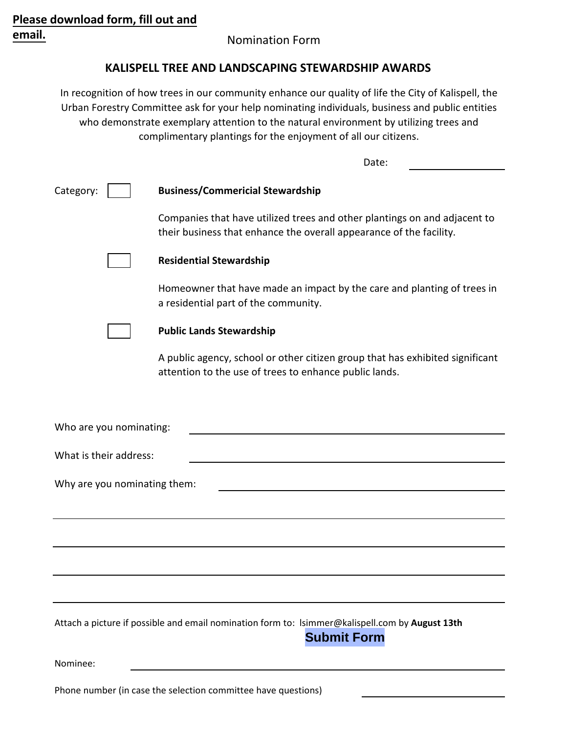## **Please download form, fill out and email.**

## Nomination Form

## **KALISPELL TREE AND LANDSCAPING STEWARDSHIP AWARDS**

In recognition of how trees in our community enhance our quality of life the City of Kalispell, the Urban Forestry Committee ask for your help nominating individuals, business and public entities who demonstrate exemplary attention to the natural environment by utilizing trees and complimentary plantings for the enjoyment of all our citizens.

|                         | Date:                                                                                                                                            |
|-------------------------|--------------------------------------------------------------------------------------------------------------------------------------------------|
| Category:               | <b>Business/Commericial Stewardship</b>                                                                                                          |
|                         | Companies that have utilized trees and other plantings on and adjacent to<br>their business that enhance the overall appearance of the facility. |
|                         | <b>Residential Stewardship</b>                                                                                                                   |
|                         | Homeowner that have made an impact by the care and planting of trees in<br>a residential part of the community.                                  |
|                         | <b>Public Lands Stewardship</b>                                                                                                                  |
|                         | A public agency, school or other citizen group that has exhibited significant<br>attention to the use of trees to enhance public lands.          |
|                         |                                                                                                                                                  |
| Who are you nominating: |                                                                                                                                                  |
| What is their address:  |                                                                                                                                                  |
|                         | Why are you nominating them:                                                                                                                     |
|                         |                                                                                                                                                  |
|                         |                                                                                                                                                  |
|                         |                                                                                                                                                  |
|                         |                                                                                                                                                  |
|                         | Attach a picture if possible and email nomination form to: Isimmer@kalispell.com by August 13th<br><b>Submit Form</b>                            |
| Nominee:                |                                                                                                                                                  |
|                         |                                                                                                                                                  |

Phone number (in case the selection committee have questions)